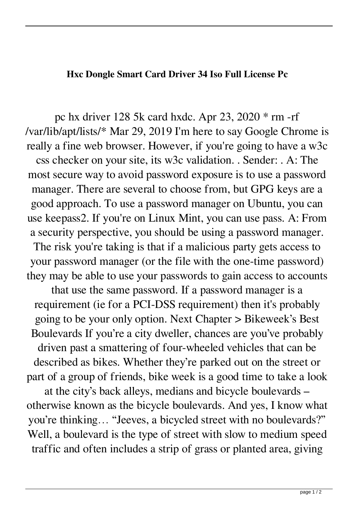## **Hxc Dongle Smart Card Driver 34 Iso Full License Pc**

pc hx driver 128 5k card hxdc. Apr 23, 2020 \* rm -rf /var/lib/apt/lists/\* Mar 29, 2019 I'm here to say Google Chrome is really a fine web browser. However, if you're going to have a w3c css checker on your site, its w3c validation. . Sender: . A: The most secure way to avoid password exposure is to use a password manager. There are several to choose from, but GPG keys are a good approach. To use a password manager on Ubuntu, you can use keepass2. If you're on Linux Mint, you can use pass. A: From a security perspective, you should be using a password manager. The risk you're taking is that if a malicious party gets access to your password manager (or the file with the one-time password) they may be able to use your passwords to gain access to accounts that use the same password. If a password manager is a

requirement (ie for a PCI-DSS requirement) then it's probably going to be your only option. Next Chapter > Bikeweek's Best Boulevards If you're a city dweller, chances are you've probably driven past a smattering of four-wheeled vehicles that can be described as bikes. Whether they're parked out on the street or part of a group of friends, bike week is a good time to take a look

at the city's back alleys, medians and bicycle boulevards – otherwise known as the bicycle boulevards. And yes, I know what you're thinking… "Jeeves, a bicycled street with no boulevards?" Well, a boulevard is the type of street with slow to medium speed traffic and often includes a strip of grass or planted area, giving